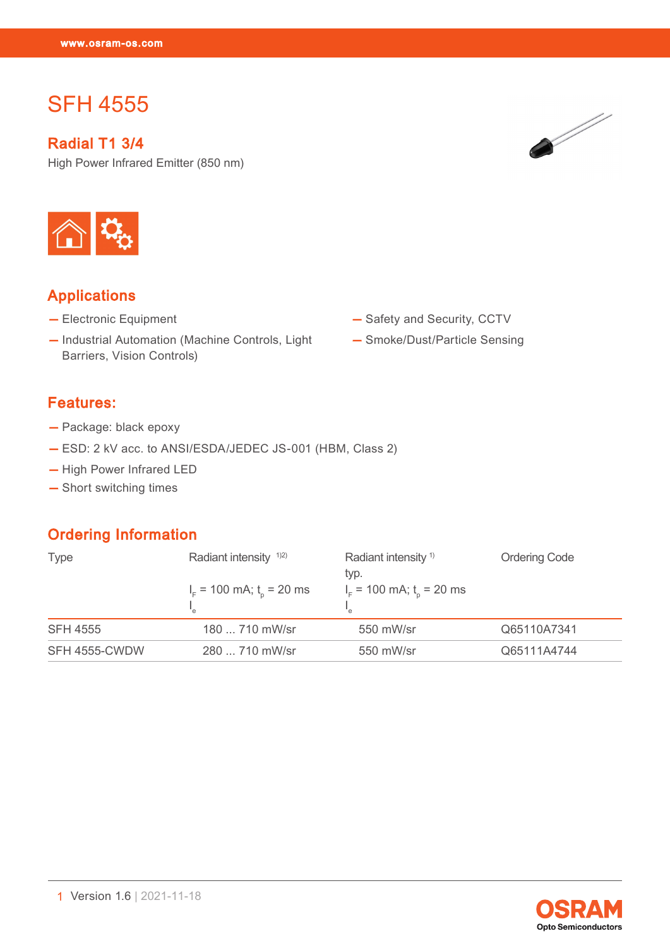# SFH 4555

SFH 4555

Radial T1 3/4

High Power Infrared Emitter (850 nm)





# Applications

- Electronic Equipment
- Industrial Automation (Machine Controls, Light Barriers, Vision Controls)
- Features:
- Package: black epoxy
- ESD: 2 kV acc. to ANSI/ESDA/JEDEC JS-001 (HBM, Class 2)
- High Power Infrared LED
- Short switching times

# Ordering Information

| <b>Type</b>     | Radiant intensity $1/2$<br>$IF$ = 100 mA; t <sub>o</sub> = 20 ms | Radiant intensity <sup>1)</sup><br>typ.<br>$IF$ = 100 mA; t <sub>n</sub> = 20 ms | <b>Ordering Code</b> |  |
|-----------------|------------------------------------------------------------------|----------------------------------------------------------------------------------|----------------------|--|
|                 |                                                                  |                                                                                  |                      |  |
| <b>SFH 4555</b> | 180  710 mW/sr                                                   | 550 mW/sr                                                                        | Q65110A7341          |  |
| SFH 4555-CWDW   | 280  710 mW/sr                                                   | 550 mW/sr                                                                        | Q65111A4744          |  |



- Safety and Security, CCTV
- Smoke/Dust/Particle Sensing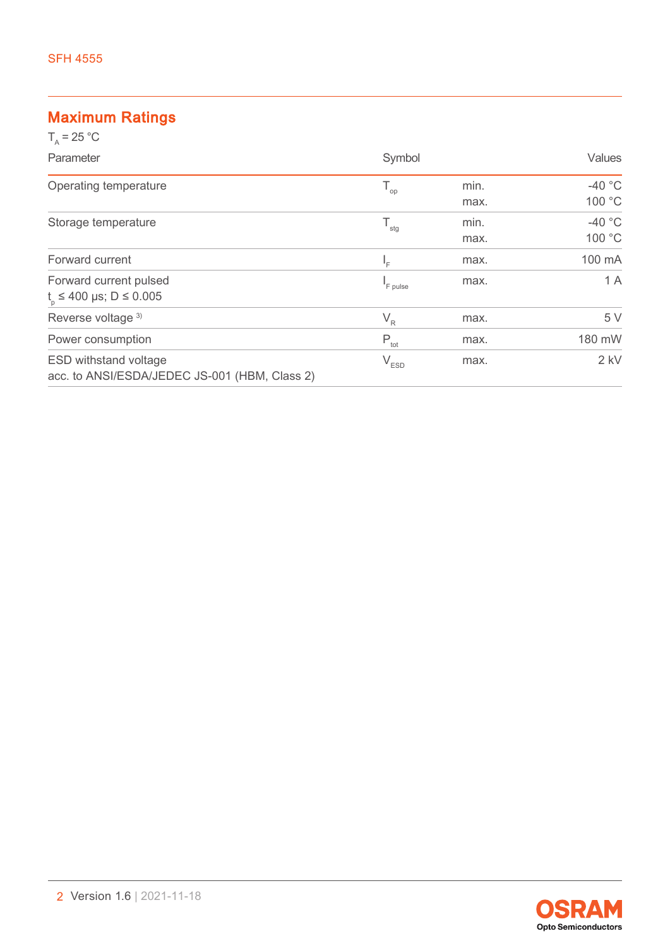# Maximum Ratings

| $T_{0}$ = 25 °C                                                               |                            |              |                    |
|-------------------------------------------------------------------------------|----------------------------|--------------|--------------------|
| Parameter                                                                     | Symbol                     |              | Values             |
| Operating temperature                                                         | $\mathsf{T}_{\mathsf{op}}$ | min.<br>max. | $-40$ °C<br>100 °C |
| Storage temperature                                                           | $T_{\rm stg}$              | min.<br>max. | $-40$ °C<br>100 °C |
| Forward current                                                               | I <sub>F</sub>             | max.         | 100 mA             |
| Forward current pulsed<br>$t_{0} \le 400 \text{ }\mu\text{s}; D \le 0.005$    | <sup>I</sup> F pulse       | max.         | 1 A                |
| Reverse voltage 3)                                                            | $V_R$                      | max.         | 5 V                |
| Power consumption                                                             | $P_{\text{tot}}$           | max.         | 180 mW             |
| <b>ESD withstand voltage</b><br>acc. to ANSI/ESDA/JEDEC JS-001 (HBM, Class 2) | $V_{ESD}$                  | max.         | $2$ kV             |

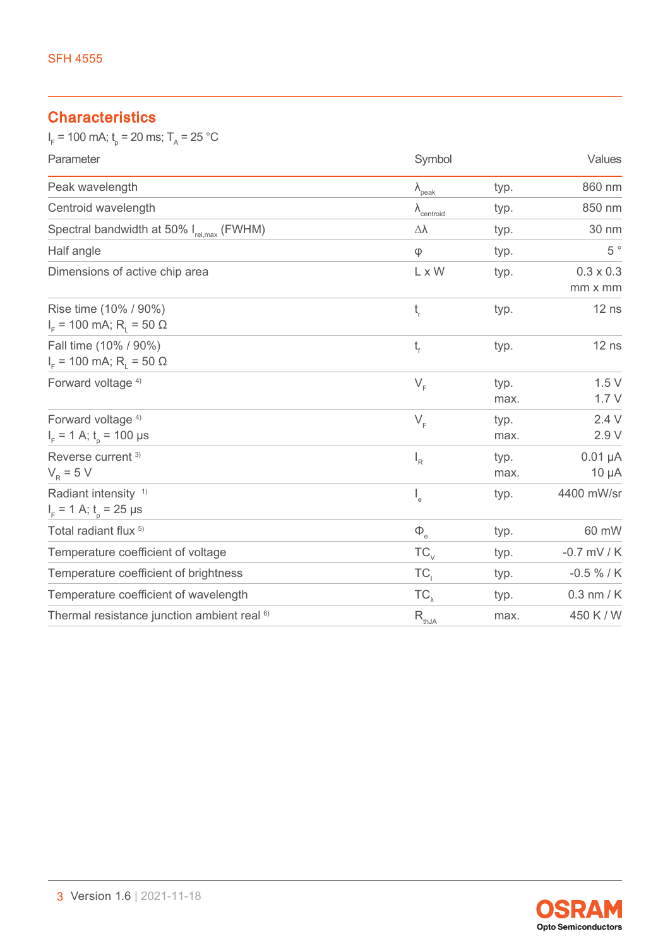# **Characteristics**

 $I_F$  = 100 mA;  $t_p$  = 20 ms; T<sub>A</sub> = 25 °C

| Parameter                                                             | Symbol                        |              | Values                      |
|-----------------------------------------------------------------------|-------------------------------|--------------|-----------------------------|
| Peak wavelength                                                       | $\lambda_{\text{peak}}$       | typ.         | 860 nm                      |
| Centroid wavelength                                                   | $\lambda$ <sub>centroid</sub> | typ.         | 850 nm                      |
| Spectral bandwidth at 50% I <sub>rel,max</sub> (FWHM)                 | Δλ                            | typ.         | 30 nm                       |
| Half angle                                                            | $\varphi$                     | typ.         | $5~^{\circ}$                |
| Dimensions of active chip area                                        | L x W                         | typ.         | $0.3 \times 0.3$<br>mm x mm |
| Rise time (10% / 90%)<br>$IF$ = 100 mA; R <sub>1</sub> = 50 Ω         | t,                            | typ.         | $12$ ns                     |
| Fall time (10% / 90%)<br>$IF$ = 100 mA; R <sub>1</sub> = 50 Ω         | $t_{\rm f}$                   | typ.         | $12$ ns                     |
| Forward voltage <sup>4)</sup>                                         | $V_F$                         | typ.<br>max. | 1.5V<br>1.7V                |
| Forward voltage <sup>4)</sup><br>$I_F$ = 1 A; t <sub>p</sub> = 100 µs | $V_F$                         | typ.<br>max. | 2.4V<br>2.9 V               |
| Reverse current <sup>3)</sup><br>$V_R = 5 V$                          | $\mathsf{I}_{\mathsf{R}}$     | typ.<br>max. | $0.01 \mu A$<br>$10 \mu A$  |
| Radiant intensity <sup>1)</sup><br>$I_F$ = 1 A; $t_0$ = 25 µs         | $\mathsf{I}_{\mathsf{e}}$     | typ.         | 4400 mW/sr                  |
| Total radiant flux <sup>5)</sup>                                      | $\Phi_{_{\rm e}}$             | typ.         | 60 mW                       |
| Temperature coefficient of voltage                                    | $TC_{V}$                      | typ.         | $-0.7$ mV / K               |
| Temperature coefficient of brightness                                 | TC,                           | typ.         | $-0.5 \% / K$               |
| Temperature coefficient of wavelength                                 | $TC_{\lambda}$                | typ.         | $0.3$ nm / $K$              |
| Thermal resistance junction ambient real <sup>6)</sup>                | $\mathsf{R}_{\text{thJA}}$    | max.         | 450 K / W                   |

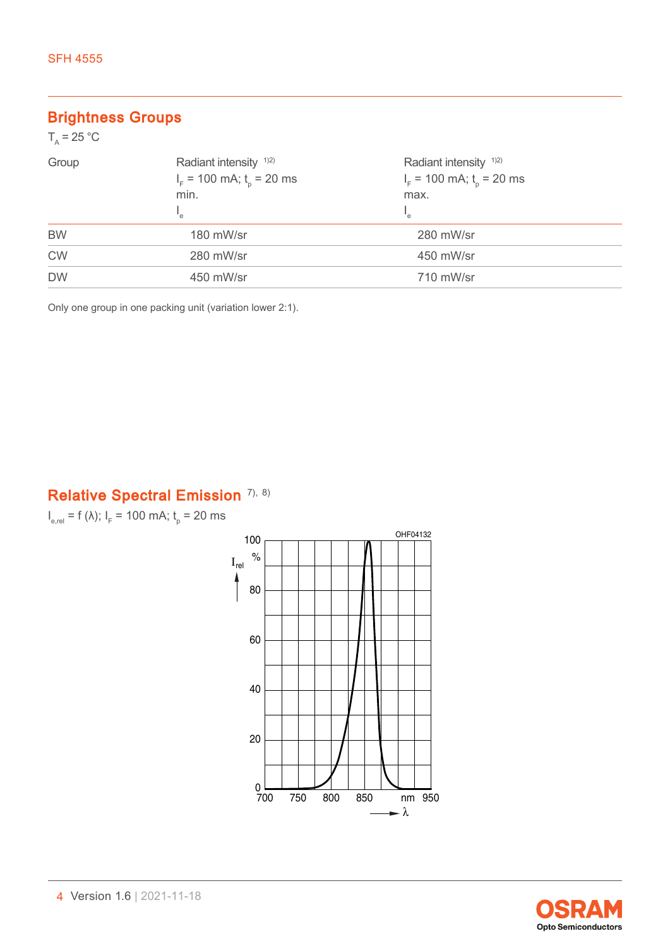# Brightness Groups

| $T_{\rm A}$ = 25 °C |                                   |                                   |  |
|---------------------|-----------------------------------|-----------------------------------|--|
| Group               | Radiant intensity <sup>1)2)</sup> | Radiant intensity <sup>1)2)</sup> |  |
|                     | $IF$ = 100 mA; $to$ = 20 ms       | $IF$ = 100 mA; $to$ = 20 ms       |  |
|                     | min.                              | max.                              |  |
|                     | "e                                | $\mathsf{I}_{\mathsf{e}}$         |  |
| <b>BW</b>           | 180 mW/sr                         | 280 mW/sr                         |  |
| <b>CW</b>           | 280 mW/sr                         | 450 mW/sr                         |  |
| <b>DW</b>           | 450 mW/sr                         | 710 mW/sr                         |  |

Only one group in one packing unit (variation lower 2:1).

# Relative Spectral Emission [7\),](#page-11-0) [8\)](#page-11-0)

 $I_{e,rel}$  = f (λ);  $I_F$  = 100 mA;  $t_p$  = 20 ms



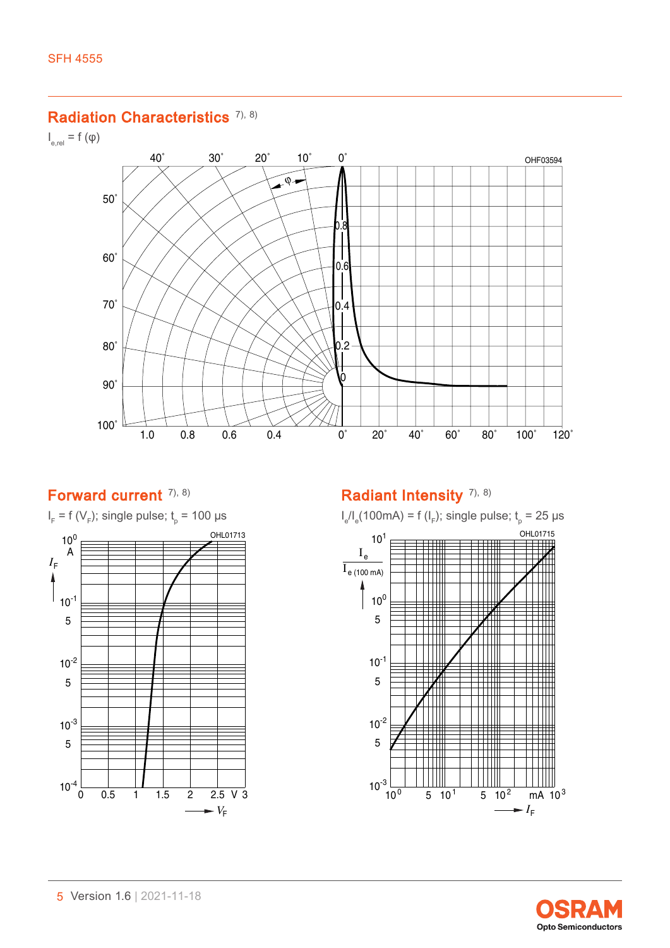#### Radiation Characteristics<sup>[7\),](#page-11-0) [8\)](#page-11-0)</sup>

 $I_{\text{e,rel}} = f(\phi)$ 



### Forward current [7\),](#page-11-0) [8\)](#page-11-0)



# Radiant Intensity<sup>[7\),](#page-11-0) [8\)](#page-11-0)</sup>



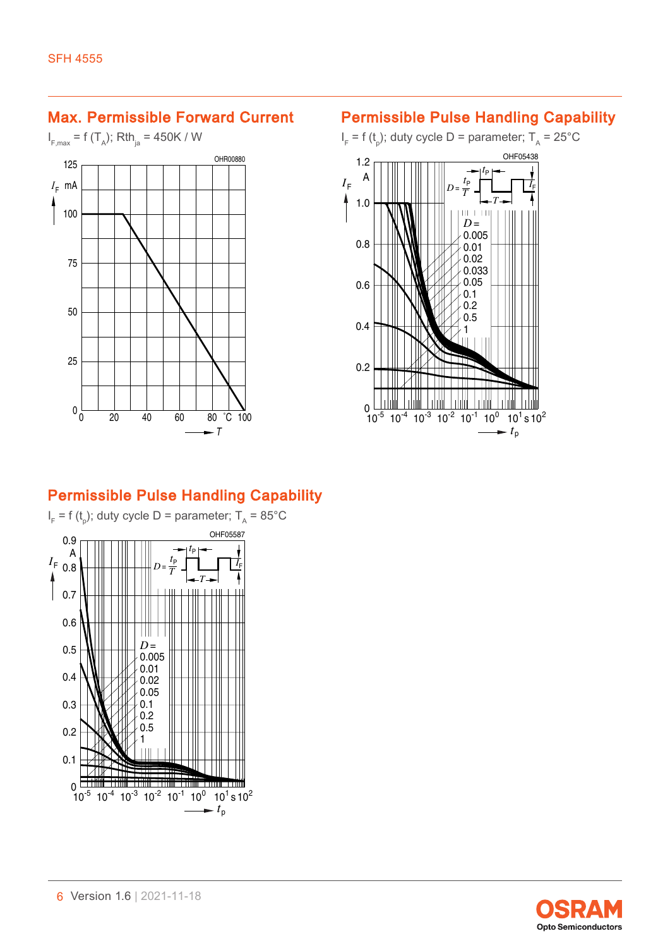### Max. Permissible Forward Current

 $I_{F, \text{max}} = f(T_A)$ ; Rth<sub>ja</sub> = 450K / W



### Permissible Pulse Handling Capability

 $I_{\text{F}}$  = f (t<sub>p</sub>); duty cycle D = parameter; T<sub>A</sub> = 25°C



# Permissible Pulse Handling Capability



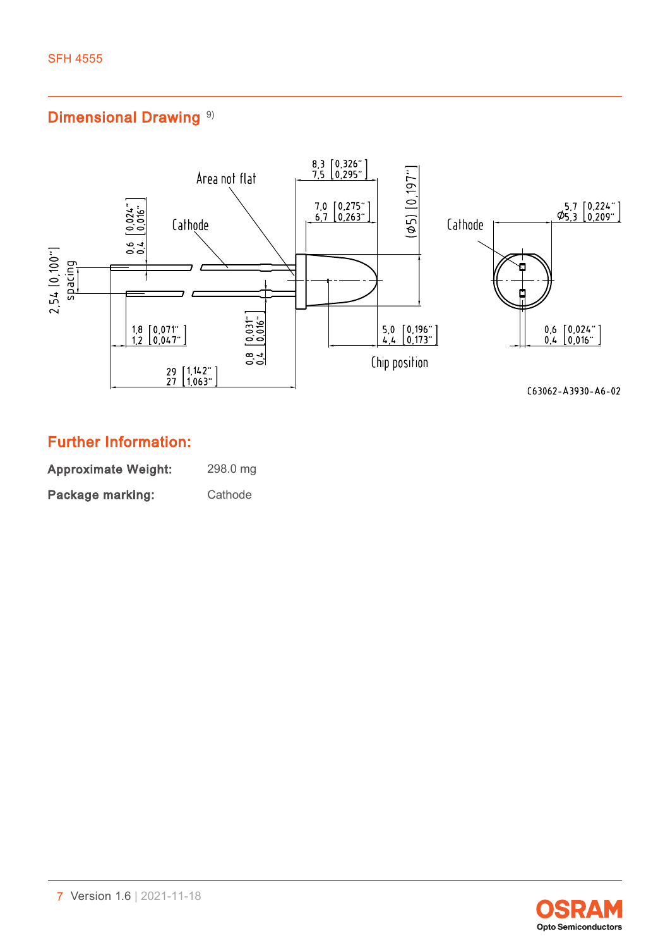# Dimensional Drawing<sup>[9\)](#page-11-0)</sup>



# Further Information:

| <b>Approximate Weight:</b> | 298.0 mg |
|----------------------------|----------|
| Package marking:           | Cathode  |

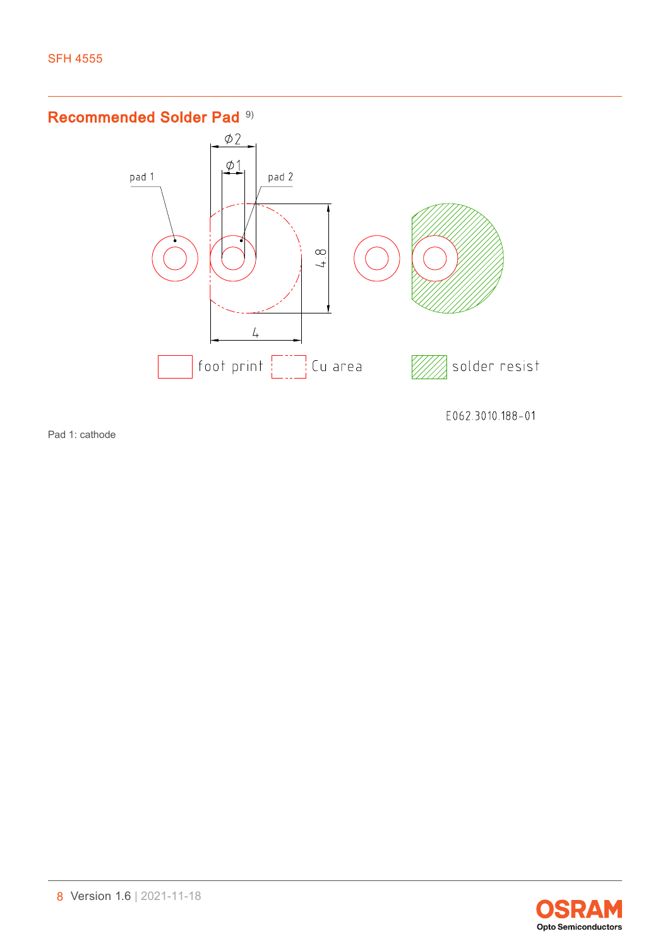# Recommended Solder Pad<sup>[9\)](#page-11-0)</sup>



Pad 1: cathode



E062.3010.188-01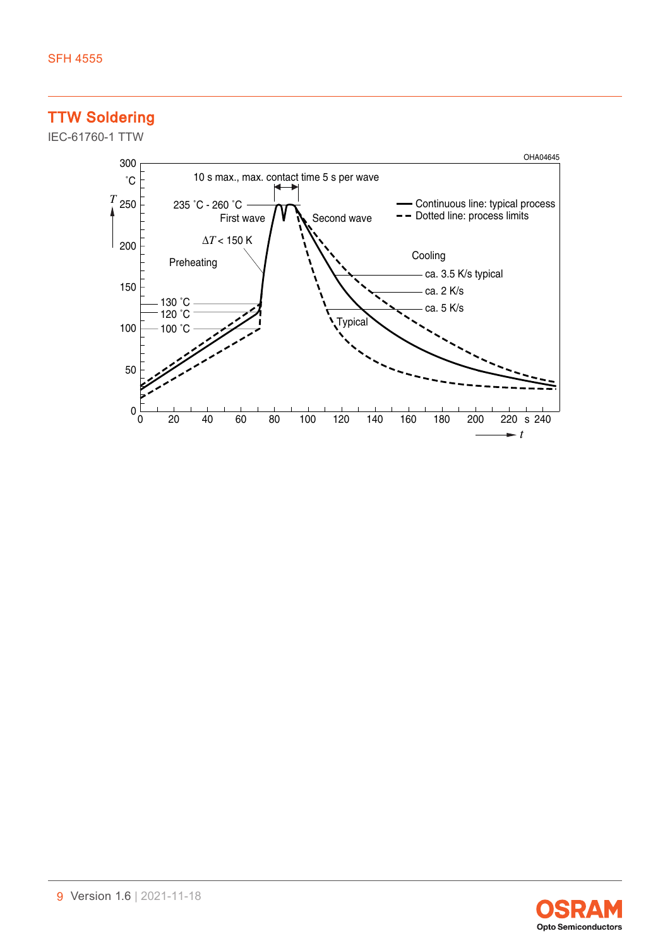# TTW Soldering

IEC-61760-1 TTW



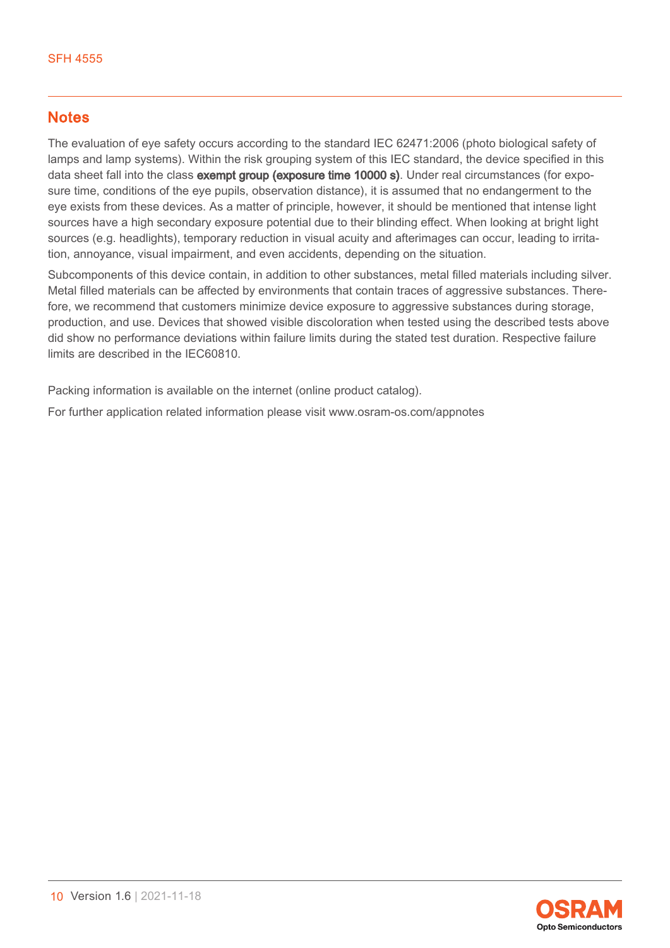### **Notes**

The evaluation of eye safety occurs according to the standard IEC 62471:2006 (photo biological safety of lamps and lamp systems). Within the risk grouping system of this IEC standard, the device specified in this data sheet fall into the class exempt group (exposure time 10000 s). Under real circumstances (for exposure time, conditions of the eye pupils, observation distance), it is assumed that no endangerment to the eye exists from these devices. As a matter of principle, however, it should be mentioned that intense light sources have a high secondary exposure potential due to their blinding effect. When looking at bright light sources (e.g. headlights), temporary reduction in visual acuity and afterimages can occur, leading to irritation, annoyance, visual impairment, and even accidents, depending on the situation.

Subcomponents of this device contain, in addition to other substances, metal filled materials including silver. Metal filled materials can be affected by environments that contain traces of aggressive substances. Therefore, we recommend that customers minimize device exposure to aggressive substances during storage, production, and use. Devices that showed visible discoloration when tested using the described tests above did show no performance deviations within failure limits during the stated test duration. Respective failure limits are described in the IEC60810.

Packing information is available on the internet (online product catalog).

For further application related information please visit www.osram-os.com/appnotes

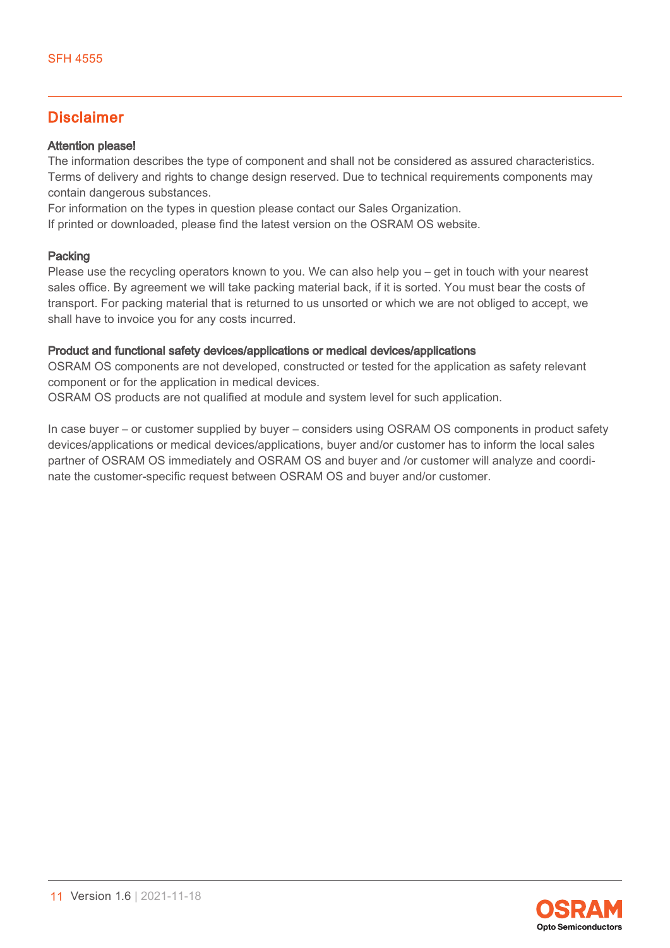### Disclaimer

#### Attention please!

The information describes the type of component and shall not be considered as assured characteristics. Terms of delivery and rights to change design reserved. Due to technical requirements components may contain dangerous substances.

For information on the types in question please contact our Sales Organization.

If printed or downloaded, please find the latest version on the OSRAM OS website.

#### Packing

Please use the recycling operators known to you. We can also help you – get in touch with your nearest sales office. By agreement we will take packing material back, if it is sorted. You must bear the costs of transport. For packing material that is returned to us unsorted or which we are not obliged to accept, we shall have to invoice you for any costs incurred.

#### Product and functional safety devices/applications or medical devices/applications

OSRAM OS components are not developed, constructed or tested for the application as safety relevant component or for the application in medical devices.

OSRAM OS products are not qualified at module and system level for such application.

In case buyer – or customer supplied by buyer – considers using OSRAM OS components in product safety devices/applications or medical devices/applications, buyer and/or customer has to inform the local sales partner of OSRAM OS immediately and OSRAM OS and buyer and /or customer will analyze and coordinate the customer-specific request between OSRAM OS and buyer and/or customer.

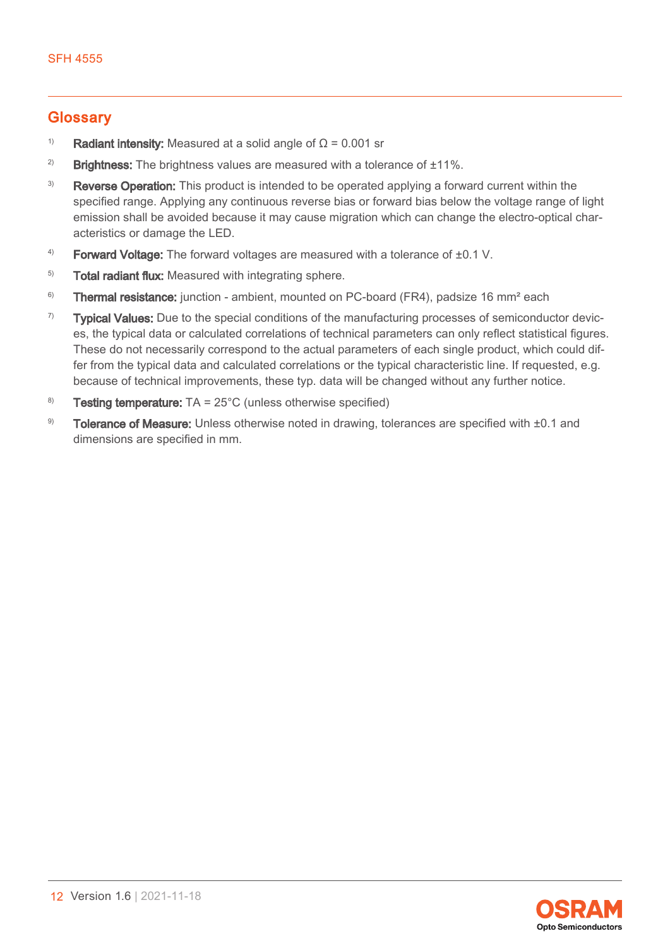### <span id="page-11-0"></span>**Glossary**

- <sup>1)</sup> Radiant intensity: Measured at a solid angle of  $\Omega$  = 0.001 sr
- <sup>2)</sup> Brightness: The brightness values are measured with a tolerance of  $\pm 11\%$ .
- <sup>3)</sup> Reverse Operation: This product is intended to be operated applying a forward current within the specified range. Applying any continuous reverse bias or forward bias below the voltage range of light emission shall be avoided because it may cause migration which can change the electro-optical characteristics or damage the LED.
- $4$ ) Forward Voltage: The forward voltages are measured with a tolerance of  $\pm 0.1$  V.
- <sup>5)</sup> Total radiant flux: Measured with integrating sphere.
- <sup>6)</sup> Thermal resistance: junction ambient, mounted on PC-board (FR4), padsize 16 mm<sup>2</sup> each
- $7$  Typical Values: Due to the special conditions of the manufacturing processes of semiconductor devices, the typical data or calculated correlations of technical parameters can only reflect statistical figures. These do not necessarily correspond to the actual parameters of each single product, which could differ from the typical data and calculated correlations or the typical characteristic line. If requested, e.g. because of technical improvements, these typ. data will be changed without any further notice.
- <sup>8)</sup> Testing temperature:  $TA = 25^{\circ}C$  (unless otherwise specified)
- 9) Tolerance of Measure: Unless otherwise noted in drawing, tolerances are specified with  $\pm 0.1$  and dimensions are specified in mm.

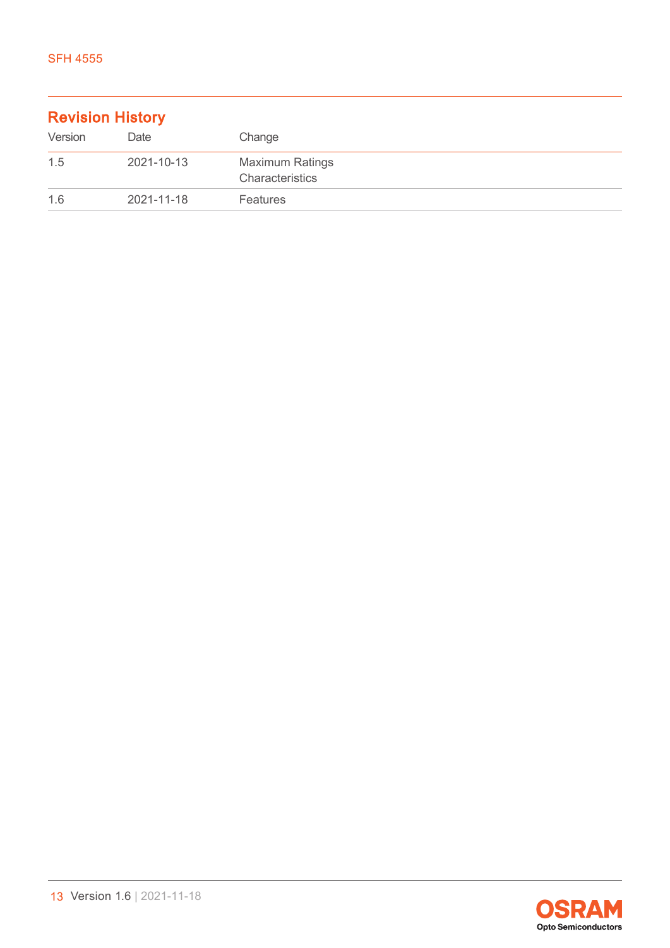| <b>Revision History</b> |            |                                           |  |
|-------------------------|------------|-------------------------------------------|--|
| Version                 | Date       | Change                                    |  |
| 1.5                     | 2021-10-13 | <b>Maximum Ratings</b><br>Characteristics |  |
| 1.6                     | 2021-11-18 | <b>Features</b>                           |  |